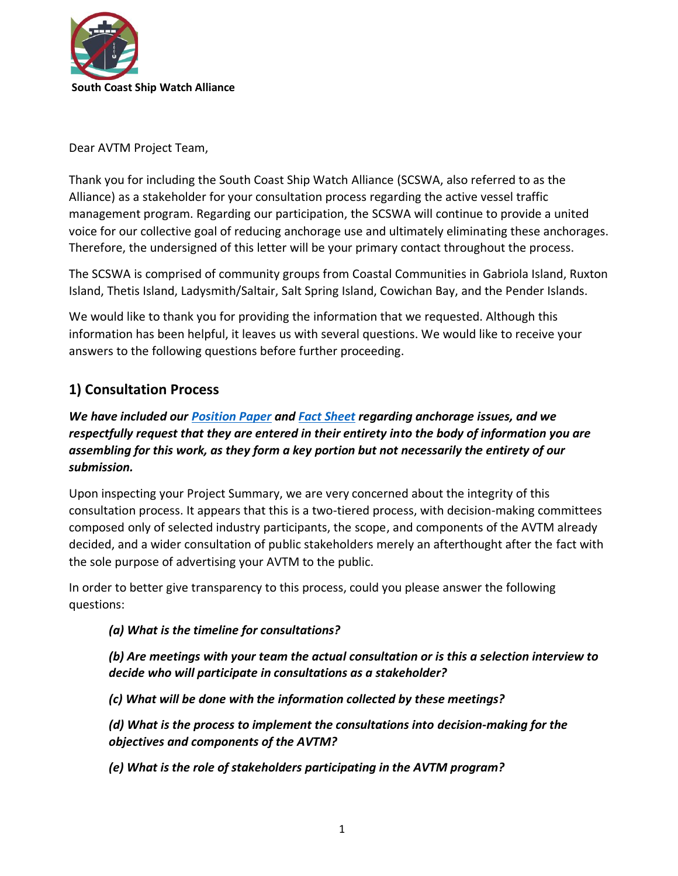

Dear AVTM Project Team,

Thank you for including the South Coast Ship Watch Alliance (SCSWA, also referred to as the Alliance) as a stakeholder for your consultation process regarding the active vessel traffic management program. Regarding our participation, the SCSWA will continue to provide a united voice for our collective goal of reducing anchorage use and ultimately eliminating these anchorages. Therefore, the undersigned of this letter will be your primary contact throughout the process.

The SCSWA is comprised of community groups from Coastal Communities in Gabriola Island, Ruxton Island, Thetis Island, Ladysmith/Saltair, Salt Spring Island, Cowichan Bay, and the Pender Islands.

We would like to thank you for providing the information that we requested. Although this information has been helpful, it leaves us with several questions. We would like to receive your answers to the following questions before further proceeding.

## **1) Consultation Process**

*We have included our [Position Paper](https://nofreighteranchorages.ca/wp-content/uploads/2022/03/SCSWA-Position-Paper.pdf) and [Fact Sheet](https://nofreighteranchorages.ca/wp-content/uploads/2022/03/Fact_Sheet_Ship_Congestion_Health_and_Environmental_February_22_2022.pdf) regarding anchorage issues, and we respectfully request that they are entered in their entirety into the body of information you are assembling for this work, as they form a key portion but not necessarily the entirety of our submission.*

Upon inspecting your Project Summary, we are very concerned about the integrity of this consultation process. It appears that this is a two-tiered process, with decision-making committees composed only of selected industry participants, the scope, and components of the AVTM already decided, and a wider consultation of public stakeholders merely an afterthought after the fact with the sole purpose of advertising your AVTM to the public.

In order to better give transparency to this process, could you please answer the following questions:

*(a) What is the timeline for consultations?*

*(b) Are meetings with your team the actual consultation or is this a selection interview to decide who will participate in consultations as a stakeholder?*

*(c) What will be done with the information collected by these meetings?*

*(d) What is the process to implement the consultations into decision-making for the objectives and components of the AVTM?*

*(e) What is the role of stakeholders participating in the AVTM program?*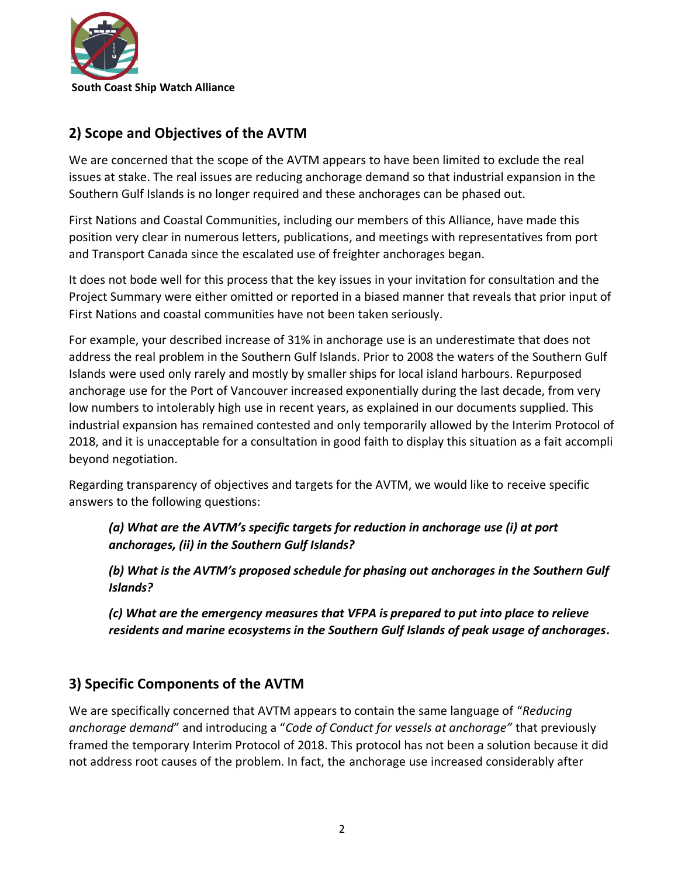

## **2) Scope and Objectives of the AVTM**

We are concerned that the scope of the AVTM appears to have been limited to exclude the real issues at stake. The real issues are reducing anchorage demand so that industrial expansion in the Southern Gulf Islands is no longer required and these anchorages can be phased out.

First Nations and Coastal Communities, including our members of this Alliance, have made this position very clear in numerous letters, publications, and meetings with representatives from port and Transport Canada since the escalated use of freighter anchorages began.

It does not bode well for this process that the key issues in your invitation for consultation and the Project Summary were either omitted or reported in a biased manner that reveals that prior input of First Nations and coastal communities have not been taken seriously.

For example, your described increase of 31% in anchorage use is an underestimate that does not address the real problem in the Southern Gulf Islands. Prior to 2008 the waters of the Southern Gulf Islands were used only rarely and mostly by smaller ships for local island harbours. Repurposed anchorage use for the Port of Vancouver increased exponentially during the last decade, from very low numbers to intolerably high use in recent years, as explained in our documents supplied. This industrial expansion has remained contested and only temporarily allowed by the Interim Protocol of 2018, and it is unacceptable for a consultation in good faith to display this situation as a fait accompli beyond negotiation.

Regarding transparency of objectives and targets for the AVTM, we would like to receive specific answers to the following questions:

*(a) What are the AVTM's specific targets for reduction in anchorage use (i) at port anchorages, (ii) in the Southern Gulf Islands?*

*(b) What is the AVTM's proposed schedule for phasing out anchorages in the Southern Gulf Islands?*

*(c) What are the emergency measures that VFPA is prepared to put into place to relieve residents and marine ecosystems in the Southern Gulf Islands of peak usage of anchorages.*

## **3) Specific Components of the AVTM**

We are specifically concerned that AVTM appears to contain the same language of "*Reducing anchorage demand*" and introducing a "*Code of Conduct for vessels at anchorage"* that previously framed the temporary Interim Protocol of 2018. This protocol has not been a solution because it did not address root causes of the problem. In fact, the anchorage use increased considerably after